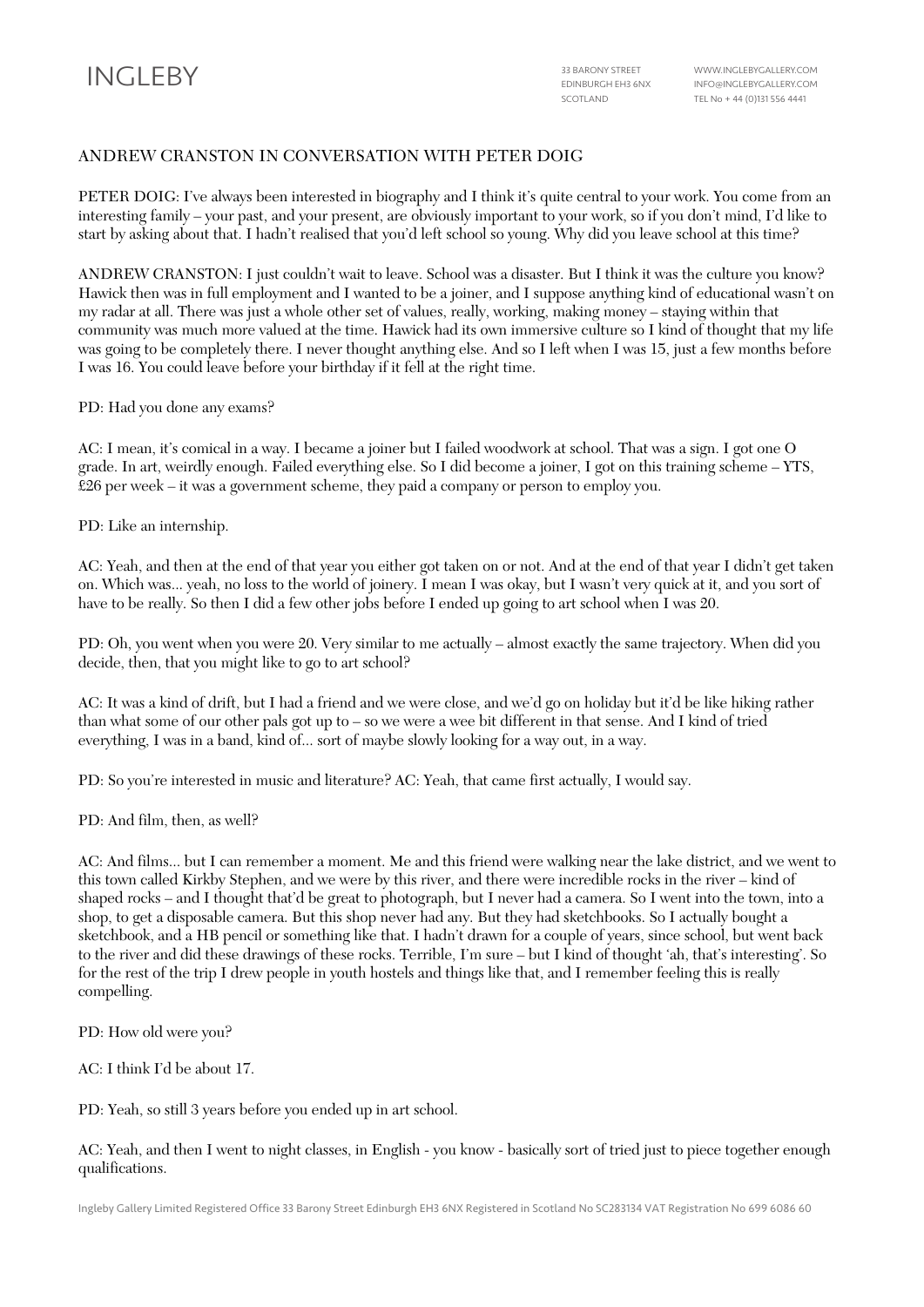## ANDREW CRANSTON IN CONVERSATION WITH PETER DOIG

PETER DOIG: I've always been interested in biography and I think it's quite central to your work. You come from an interesting family – your past, and your present, are obviously important to your work, so if you don't mind, I'd like to start by asking about that. I hadn't realised that you'd left school so young. Why did you leave school at this time?

ANDREW CRANSTON: I just couldn't wait to leave. School was a disaster. But I think it was the culture you know? Hawick then was in full employment and I wanted to be a joiner, and I suppose anything kind of educational wasn't on my radar at all. There was just a whole other set of values, really, working, making money – staying within that community was much more valued at the time. Hawick had its own immersive culture so I kind of thought that my life was going to be completely there. I never thought anything else. And so I left when I was 15, just a few months before I was 16. You could leave before your birthday if it fell at the right time.

PD: Had you done any exams?

AC: I mean, it's comical in a way. I became a joiner but I failed woodwork at school. That was a sign. I got one O grade. In art, weirdly enough. Failed everything else. So I did become a joiner, I got on this training scheme – YTS, £26 per week – it was a government scheme, they paid a company or person to employ you.

PD: Like an internship.

AC: Yeah, and then at the end of that year you either got taken on or not. And at the end of that year I didn't get taken on. Which was... yeah, no loss to the world of joinery. I mean I was okay, but I wasn't very quick at it, and you sort of have to be really. So then I did a few other jobs before I ended up going to art school when I was 20.

PD: Oh, you went when you were 20. Very similar to me actually – almost exactly the same trajectory. When did you decide, then, that you might like to go to art school?

AC: It was a kind of drift, but I had a friend and we were close, and we'd go on holiday but it'd be like hiking rather than what some of our other pals got up to – so we were a wee bit different in that sense. And I kind of tried everything, I was in a band, kind of... sort of maybe slowly looking for a way out, in a way.

PD: So you're interested in music and literature? AC: Yeah, that came first actually, I would say.

PD: And film, then, as well?

AC: And films... but I can remember a moment. Me and this friend were walking near the lake district, and we went to this town called Kirkby Stephen, and we were by this river, and there were incredible rocks in the river – kind of shaped rocks – and I thought that'd be great to photograph, but I never had a camera. So I went into the town, into a shop, to get a disposable camera. But this shop never had any. But they had sketchbooks. So I actually bought a sketchbook, and a HB pencil or something like that. I hadn't drawn for a couple of years, since school, but went back to the river and did these drawings of these rocks. Terrible, I'm sure – but I kind of thought 'ah, that's interesting'. So for the rest of the trip I drew people in youth hostels and things like that, and I remember feeling this is really compelling.

PD: How old were you?

AC: I think I'd be about 17.

PD: Yeah, so still 3 years before you ended up in art school.

AC: Yeah, and then I went to night classes, in English - you know - basically sort of tried just to piece together enough qualifications.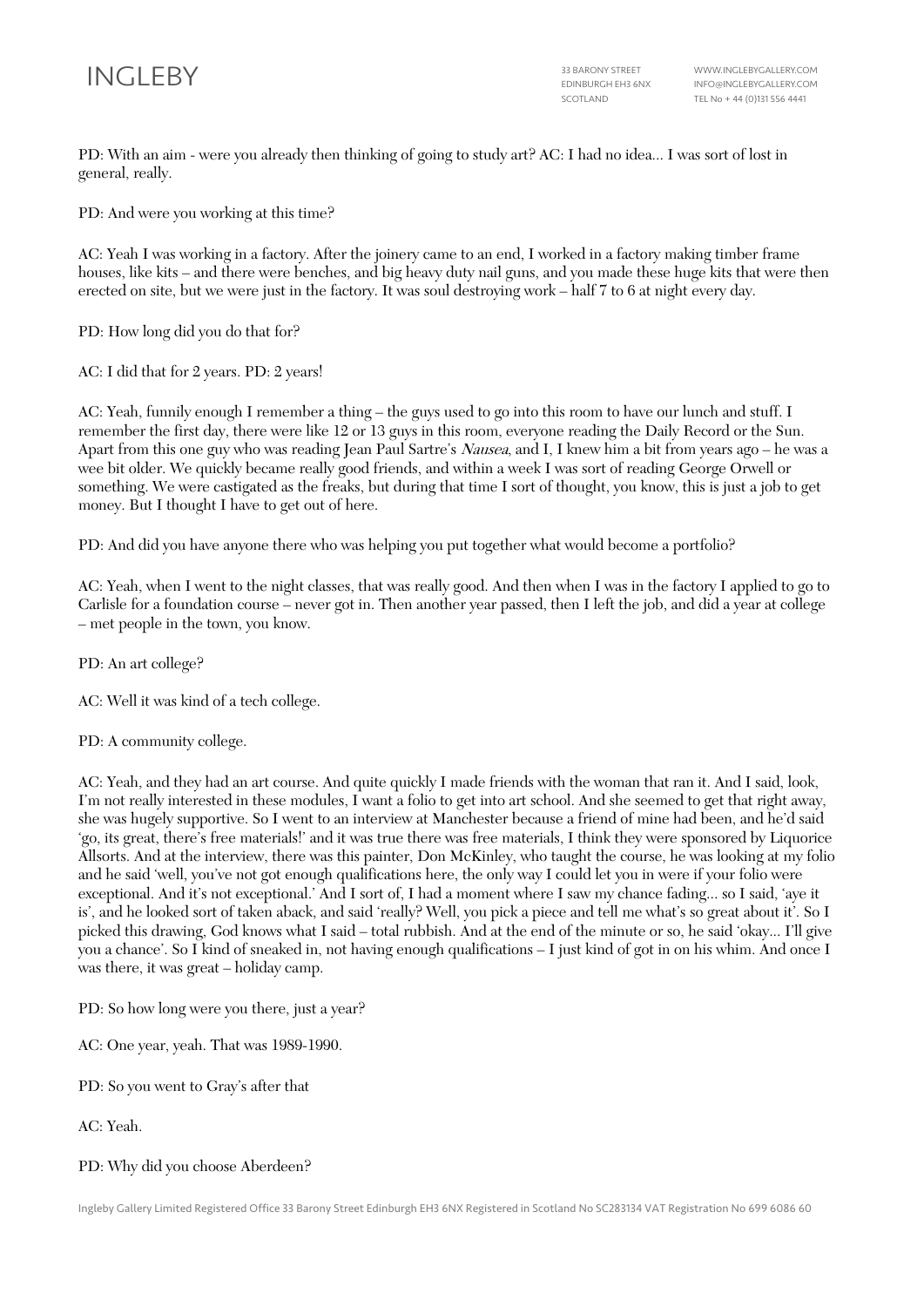

PD: With an aim - were you already then thinking of going to study art? AC: I had no idea... I was sort of lost in general, really.

PD: And were you working at this time?

AC: Yeah I was working in a factory. After the joinery came to an end, I worked in a factory making timber frame houses, like kits – and there were benches, and big heavy duty nail guns, and you made these huge kits that were then erected on site, but we were just in the factory. It was soul destroying work – half 7 to 6 at night every day.

PD: How long did you do that for?

AC: I did that for 2 years. PD: 2 years!

AC: Yeah, funnily enough I remember a thing – the guys used to go into this room to have our lunch and stuff. I remember the first day, there were like 12 or 13 guys in this room, everyone reading the Daily Record or the Sun. Apart from this one guy who was reading Jean Paul Sartre's Nausea, and I, I knew him a bit from years ago – he was a wee bit older. We quickly became really good friends, and within a week I was sort of reading George Orwell or something. We were castigated as the freaks, but during that time I sort of thought, you know, this is just a job to get money. But I thought I have to get out of here.

PD: And did you have anyone there who was helping you put together what would become a portfolio?

AC: Yeah, when I went to the night classes, that was really good. And then when I was in the factory I applied to go to Carlisle for a foundation course – never got in. Then another year passed, then I left the job, and did a year at college – met people in the town, you know.

PD: An art college?

AC: Well it was kind of a tech college.

PD: A community college.

AC: Yeah, and they had an art course. And quite quickly I made friends with the woman that ran it. And I said, look, I'm not really interested in these modules, I want a folio to get into art school. And she seemed to get that right away, she was hugely supportive. So I went to an interview at Manchester because a friend of mine had been, and he'd said 'go, its great, there's free materials!' and it was true there was free materials, I think they were sponsored by Liquorice Allsorts. And at the interview, there was this painter, Don McKinley, who taught the course, he was looking at my folio and he said 'well, you've not got enough qualifications here, the only way I could let you in were if your folio were exceptional. And it's not exceptional.' And I sort of, I had a moment where I saw my chance fading... so I said, 'aye it is', and he looked sort of taken aback, and said 'really? Well, you pick a piece and tell me what's so great about it'. So I picked this drawing, God knows what I said – total rubbish. And at the end of the minute or so, he said 'okay... I'll give you a chance'. So I kind of sneaked in, not having enough qualifications – I just kind of got in on his whim. And once I was there, it was great – holiday camp.

PD: So how long were you there, just a year?

AC: One year, yeah. That was 1989-1990.

PD: So you went to Gray's after that

AC: Yeah.

## PD: Why did you choose Aberdeen?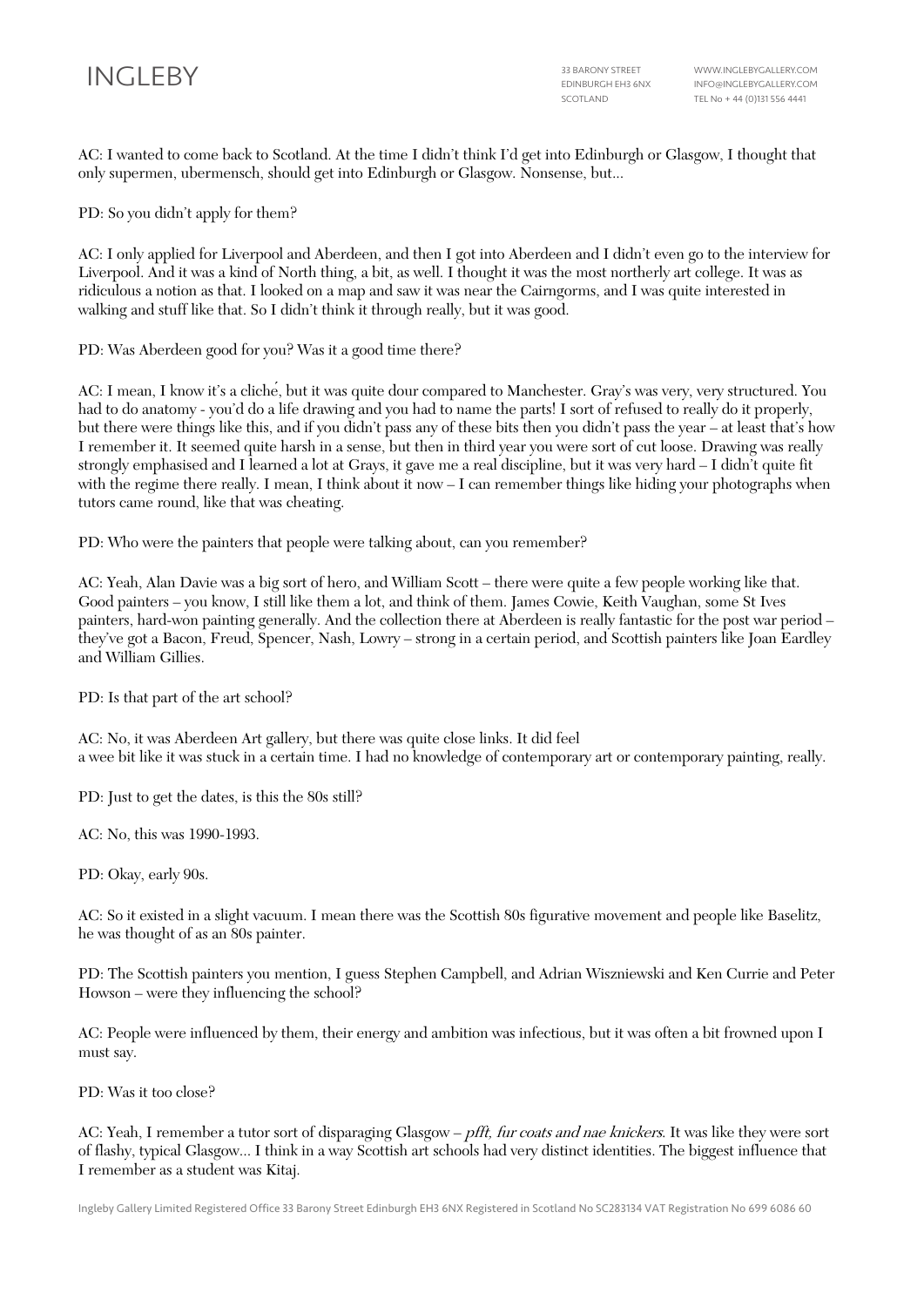AC: I wanted to come back to Scotland. At the time I didn't think I'd get into Edinburgh or Glasgow, I thought that only supermen, ubermensch, should get into Edinburgh or Glasgow. Nonsense, but...

PD: So you didn't apply for them?

AC: I only applied for Liverpool and Aberdeen, and then I got into Aberdeen and I didn't even go to the interview for Liverpool. And it was a kind of North thing, a bit, as well. I thought it was the most northerly art college. It was as ridiculous a notion as that. I looked on a map and saw it was near the Cairngorms, and I was quite interested in walking and stuff like that. So I didn't think it through really, but it was good.

PD: Was Aberdeen good for you? Was it a good time there?

AC: I mean, I know it's a cliché, but it was quite dour compared to Manchester. Gray's was very, very structured. You had to do anatomy - you'd do a life drawing and you had to name the parts! I sort of refused to really do it properly, but there were things like this, and if you didn't pass any of these bits then you didn't pass the year – at least that's how I remember it. It seemed quite harsh in a sense, but then in third year you were sort of cut loose. Drawing was really strongly emphasised and I learned a lot at Grays, it gave me a real discipline, but it was very hard – I didn't quite fit with the regime there really. I mean, I think about it now – I can remember things like hiding your photographs when tutors came round, like that was cheating.

PD: Who were the painters that people were talking about, can you remember?

AC: Yeah, Alan Davie was a big sort of hero, and William Scott – there were quite a few people working like that. Good painters – you know, I still like them a lot, and think of them. James Cowie, Keith Vaughan, some St Ives painters, hard-won painting generally. And the collection there at Aberdeen is really fantastic for the post war period – they've got a Bacon, Freud, Spencer, Nash, Lowry – strong in a certain period, and Scottish painters like Joan Eardley and William Gillies.

PD: Is that part of the art school?

AC: No, it was Aberdeen Art gallery, but there was quite close links. It did feel a wee bit like it was stuck in a certain time. I had no knowledge of contemporary art or contemporary painting, really.

PD: Just to get the dates, is this the 80s still?

AC: No, this was 1990-1993.

PD: Okay, early 90s.

AC: So it existed in a slight vacuum. I mean there was the Scottish 80s figurative movement and people like Baselitz, he was thought of as an 80s painter.

PD: The Scottish painters you mention, I guess Stephen Campbell, and Adrian Wiszniewski and Ken Currie and Peter Howson – were they influencing the school?

AC: People were influenced by them, their energy and ambition was infectious, but it was often a bit frowned upon I must say.

PD: Was it too close?

AC: Yeah, I remember a tutor sort of disparaging Glasgow – *pfft, fur coats and nae knickers*. It was like they were sort of flashy, typical Glasgow... I think in a way Scottish art schools had very distinct identities. The biggest influence that I remember as a student was Kitaj.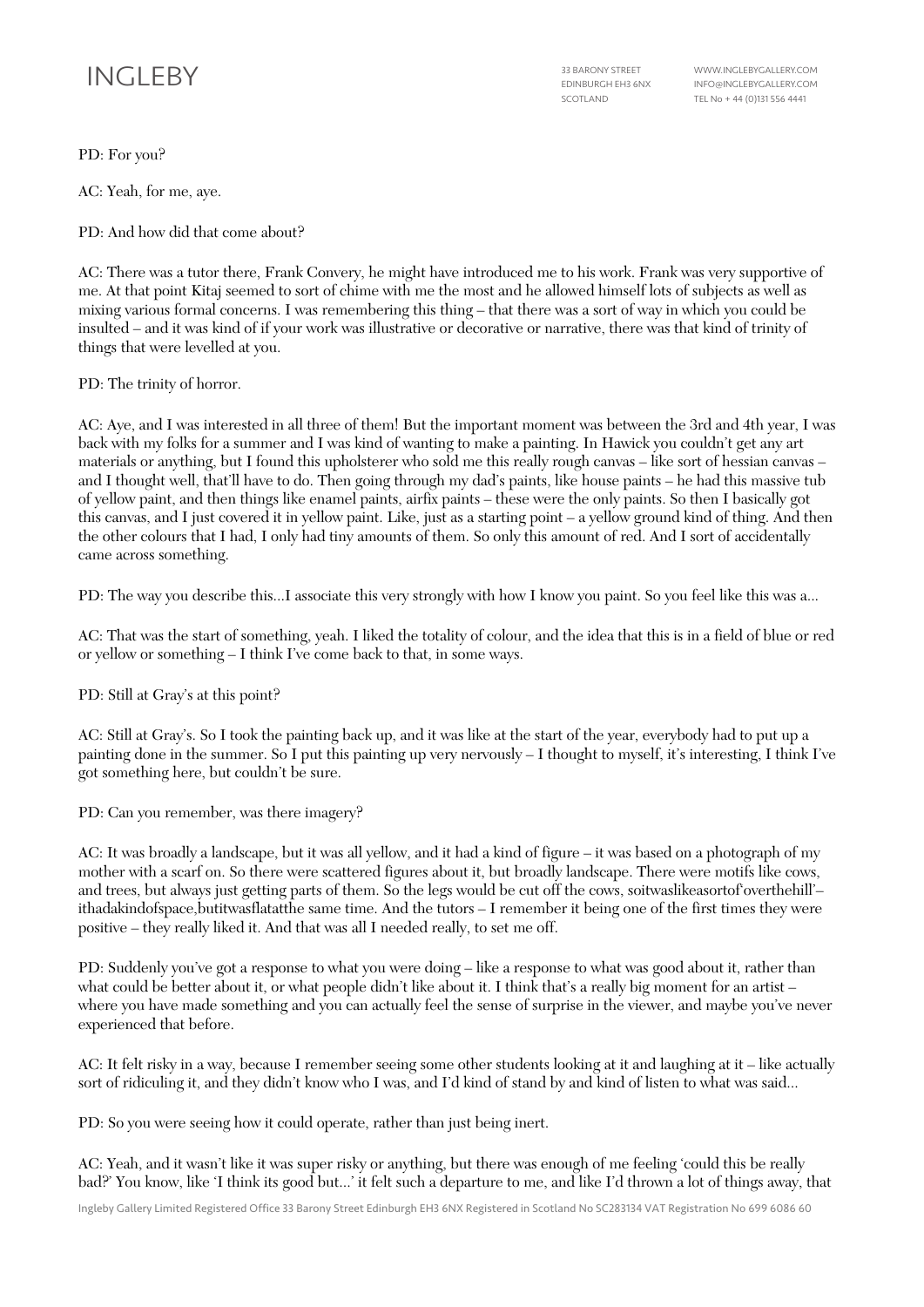# INGLEBY 33 BARONY STREET

EDINBURGH EH3 6NX SCOTLAND

WWW.INGLEBYGALLERY.COM INFO@INGLEBYGALLERY.COM TEL No + 44 (0)131 556 4441

PD: For you?

AC: Yeah, for me, aye.

PD: And how did that come about?

AC: There was a tutor there, Frank Convery, he might have introduced me to his work. Frank was very supportive of me. At that point Kitaj seemed to sort of chime with me the most and he allowed himself lots of subjects as well as mixing various formal concerns. I was remembering this thing – that there was a sort of way in which you could be insulted – and it was kind of if your work was illustrative or decorative or narrative, there was that kind of trinity of things that were levelled at you.

PD: The trinity of horror.

AC: Aye, and I was interested in all three of them! But the important moment was between the 3rd and 4th year, I was back with my folks for a summer and I was kind of wanting to make a painting. In Hawick you couldn't get any art materials or anything, but I found this upholsterer who sold me this really rough canvas – like sort of hessian canvas – and I thought well, that'll have to do. Then going through my dad's paints, like house paints – he had this massive tub of yellow paint, and then things like enamel paints, airfix paints – these were the only paints. So then I basically got this canvas, and I just covered it in yellow paint. Like, just as a starting point – a yellow ground kind of thing. And then the other colours that I had, I only had tiny amounts of them. So only this amount of red. And I sort of accidentally came across something.

PD: The way you describe this...I associate this very strongly with how I know you paint. So you feel like this was a...

AC: That was the start of something, yeah. I liked the totality of colour, and the idea that this is in a field of blue or red or yellow or something – I think I've come back to that, in some ways.

PD: Still at Gray's at this point?

AC: Still at Gray's. So I took the painting back up, and it was like at the start of the year, everybody had to put up a painting done in the summer. So I put this painting up very nervously – I thought to myself, it's interesting, I think I've got something here, but couldn't be sure.

PD: Can you remember, was there imagery?

AC: It was broadly a landscape, but it was all yellow, and it had a kind of figure – it was based on a photograph of my mother with a scarf on. So there were scattered figures about it, but broadly landscape. There were motifs like cows, and trees, but always just getting parts of them. So the legs would be cut off the cows, soitwaslikeasortof overthehill'ithadakindofspace,butitwasflatatthe same time. And the tutors – I remember it being one of the first times they were positive – they really liked it. And that was all I needed really, to set me off.

PD: Suddenly you've got a response to what you were doing – like a response to what was good about it, rather than what could be better about it, or what people didn't like about it. I think that's a really big moment for an artist – where you have made something and you can actually feel the sense of surprise in the viewer, and maybe you've never experienced that before.

AC: It felt risky in a way, because I remember seeing some other students looking at it and laughing at it – like actually sort of ridiculing it, and they didn't know who I was, and I'd kind of stand by and kind of listen to what was said...

PD: So you were seeing how it could operate, rather than just being inert.

AC: Yeah, and it wasn't like it was super risky or anything, but there was enough of me feeling 'could this be really bad?' You know, like 'I think its good but...' it felt such a departure to me, and like I'd thrown a lot of things away, that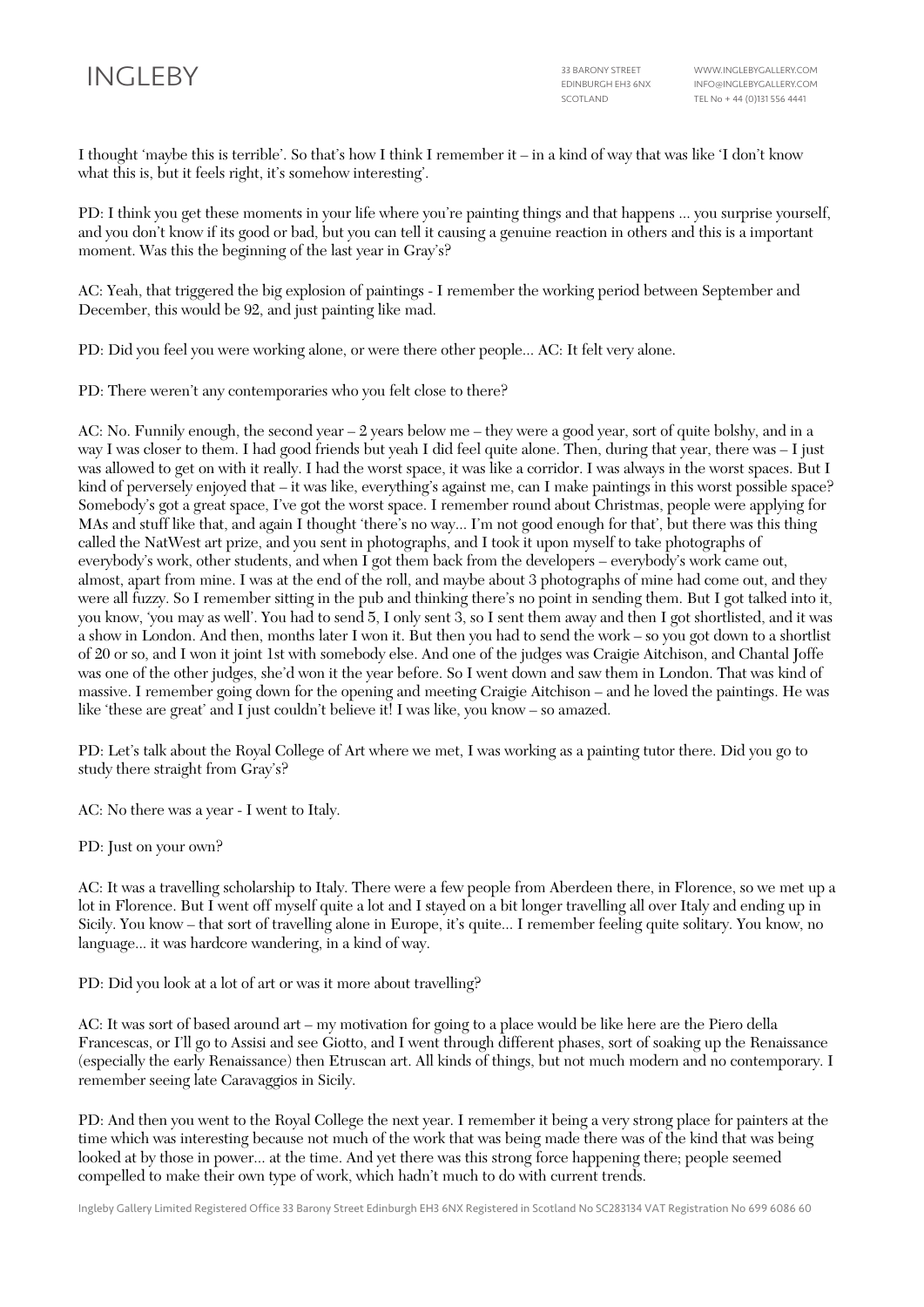I thought 'maybe this is terrible'. So that's how I think I remember it – in a kind of way that was like 'I don't know what this is, but it feels right, it's somehow interesting'.

PD: I think you get these moments in your life where you're painting things and that happens ... you surprise yourself, and you don't know if its good or bad, but you can tell it causing a genuine reaction in others and this is a important moment. Was this the beginning of the last year in Gray's?

AC: Yeah, that triggered the big explosion of paintings - I remember the working period between September and December, this would be 92, and just painting like mad.

PD: Did you feel you were working alone, or were there other people... AC: It felt very alone.

PD: There weren't any contemporaries who you felt close to there?

AC: No. Funnily enough, the second year – 2 years below me – they were a good year, sort of quite bolshy, and in a way I was closer to them. I had good friends but yeah I did feel quite alone. Then, during that year, there was – I just was allowed to get on with it really. I had the worst space, it was like a corridor. I was always in the worst spaces. But I kind of perversely enjoyed that – it was like, everything's against me, can I make paintings in this worst possible space? Somebody's got a great space, I've got the worst space. I remember round about Christmas, people were applying for MAs and stuff like that, and again I thought 'there's no way... I'm not good enough for that', but there was this thing called the NatWest art prize, and you sent in photographs, and I took it upon myself to take photographs of everybody's work, other students, and when I got them back from the developers – everybody's work came out, almost, apart from mine. I was at the end of the roll, and maybe about 3 photographs of mine had come out, and they were all fuzzy. So I remember sitting in the pub and thinking there's no point in sending them. But I got talked into it, you know, 'you may as well'. You had to send 5, I only sent 3, so I sent them away and then I got shortlisted, and it was a show in London. And then, months later I won it. But then you had to send the work – so you got down to a shortlist of 20 or so, and I won it joint 1st with somebody else. And one of the judges was Craigie Aitchison, and Chantal Joffe was one of the other judges, she'd won it the year before. So I went down and saw them in London. That was kind of massive. I remember going down for the opening and meeting Craigie Aitchison – and he loved the paintings. He was like 'these are great' and I just couldn't believe it! I was like, you know – so amazed.

PD: Let's talk about the Royal College of Art where we met, I was working as a painting tutor there. Did you go to study there straight from Gray's?

AC: No there was a year - I went to Italy.

PD: Just on your own?

AC: It was a travelling scholarship to Italy. There were a few people from Aberdeen there, in Florence, so we met up a lot in Florence. But I went off myself quite a lot and I stayed on a bit longer travelling all over Italy and ending up in Sicily. You know – that sort of travelling alone in Europe, it's quite... I remember feeling quite solitary. You know, no language... it was hardcore wandering, in a kind of way.

PD: Did you look at a lot of art or was it more about travelling?

AC: It was sort of based around art – my motivation for going to a place would be like here are the Piero della Francescas, or I'll go to Assisi and see Giotto, and I went through different phases, sort of soaking up the Renaissance (especially the early Renaissance) then Etruscan art. All kinds of things, but not much modern and no contemporary. I remember seeing late Caravaggios in Sicily.

PD: And then you went to the Royal College the next year. I remember it being a very strong place for painters at the time which was interesting because not much of the work that was being made there was of the kind that was being looked at by those in power... at the time. And yet there was this strong force happening there; people seemed compelled to make their own type of work, which hadn't much to do with current trends.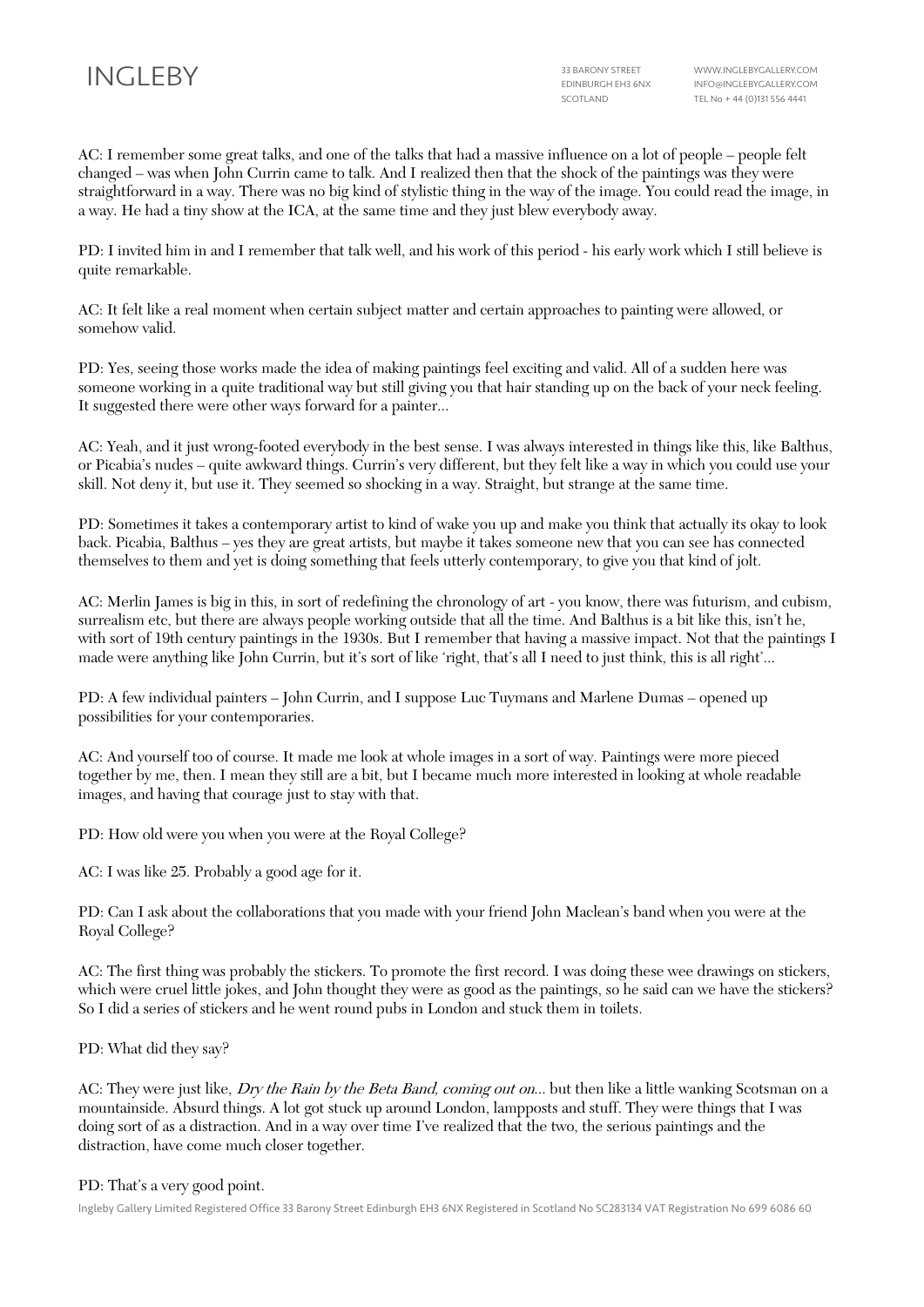AC: I remember some great talks, and one of the talks that had a massive influence on a lot of people – people felt changed – was when John Currin came to talk. And I realized then that the shock of the paintings was they were straightforward in a way. There was no big kind of stylistic thing in the way of the image. You could read the image, in a way. He had a tiny show at the ICA, at the same time and they just blew everybody away.

PD: I invited him in and I remember that talk well, and his work of this period - his early work which I still believe is quite remarkable.

AC: It felt like a real moment when certain subject matter and certain approaches to painting were allowed, or somehow valid.

PD: Yes, seeing those works made the idea of making paintings feel exciting and valid. All of a sudden here was someone working in a quite traditional way but still giving you that hair standing up on the back of your neck feeling. It suggested there were other ways forward for a painter...

AC: Yeah, and it just wrong-footed everybody in the best sense. I was always interested in things like this, like Balthus, or Picabia's nudes – quite awkward things. Currin's very different, but they felt like a way in which you could use your skill. Not deny it, but use it. They seemed so shocking in a way. Straight, but strange at the same time.

PD: Sometimes it takes a contemporary artist to kind of wake you up and make you think that actually its okay to look back. Picabia, Balthus – yes they are great artists, but maybe it takes someone new that you can see has connected themselves to them and yet is doing something that feels utterly contemporary, to give you that kind of jolt.

AC: Merlin James is big in this, in sort of redefining the chronology of art - you know, there was futurism, and cubism, surrealism etc, but there are always people working outside that all the time. And Balthus is a bit like this, isn't he, with sort of 19th century paintings in the 1930s. But I remember that having a massive impact. Not that the paintings I made were anything like John Currin, but it's sort of like 'right, that's all I need to just think, this is all right'...

PD: A few individual painters – John Currin, and I suppose Luc Tuymans and Marlene Dumas – opened up possibilities for your contemporaries.

AC: And yourself too of course. It made me look at whole images in a sort of way. Paintings were more pieced together by me, then. I mean they still are a bit, but I became much more interested in looking at whole readable images, and having that courage just to stay with that.

PD: How old were you when you were at the Royal College?

AC: I was like 25. Probably a good age for it.

PD: Can I ask about the collaborations that you made with your friend John Maclean's band when you were at the Royal College?

AC: The first thing was probably the stickers. To promote the first record. I was doing these wee drawings on stickers, which were cruel little jokes, and John thought they were as good as the paintings, so he said can we have the stickers? So I did a series of stickers and he went round pubs in London and stuck them in toilets.

PD: What did they say?

AC: They were just like, *Dry the Rain by the Beta Band, coming out on...* but then like a little wanking Scotsman on a mountainside. Absurd things. A lot got stuck up around London, lampposts and stuff. They were things that I was doing sort of as a distraction. And in a way over time I've realized that the two, the serious paintings and the distraction, have come much closer together.

#### PD: That's a very good point.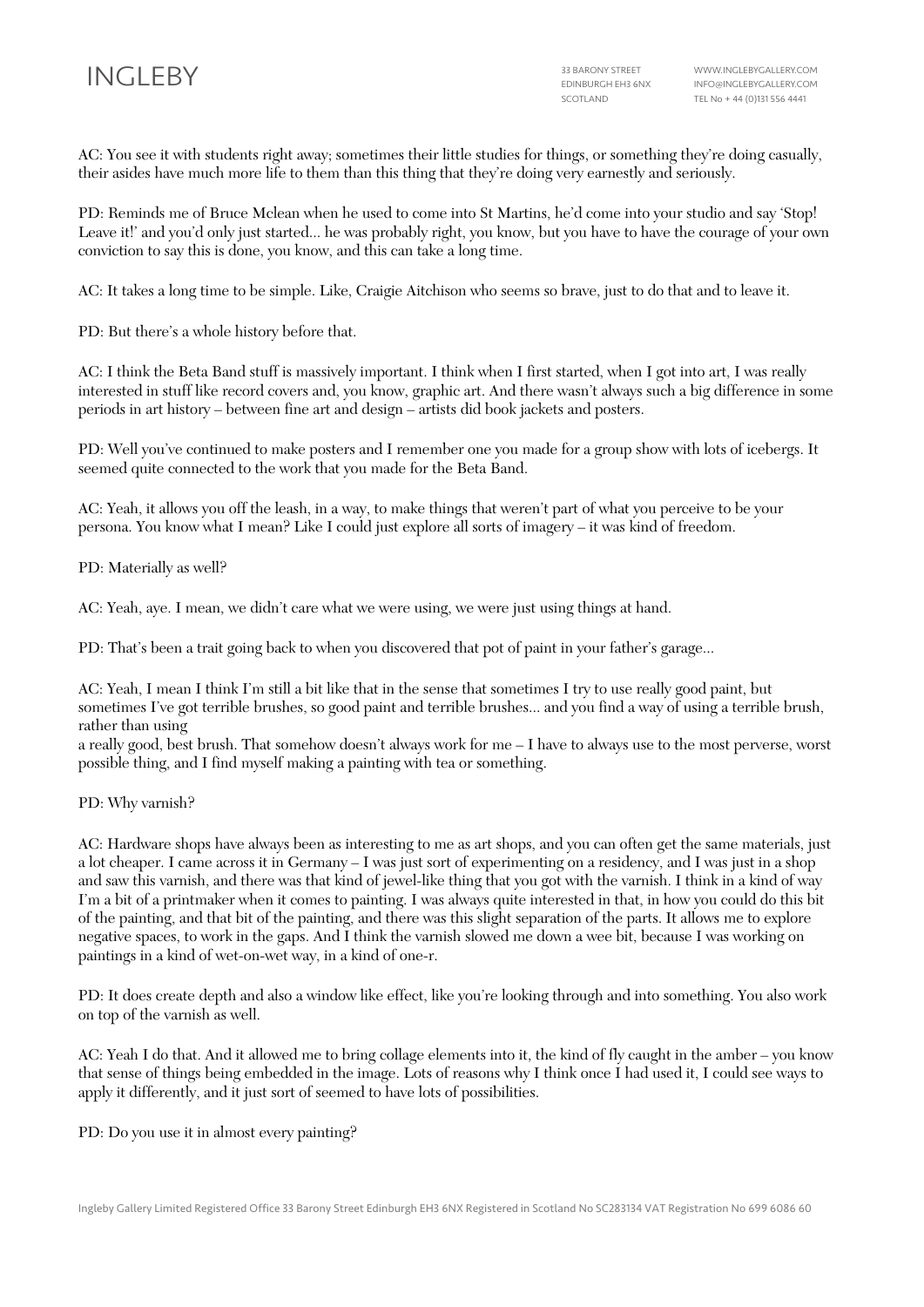AC: You see it with students right away; sometimes their little studies for things, or something they're doing casually, their asides have much more life to them than this thing that they're doing very earnestly and seriously.

PD: Reminds me of Bruce Mclean when he used to come into St Martins, he'd come into your studio and say 'Stop! Leave it!' and you'd only just started... he was probably right, you know, but you have to have the courage of your own conviction to say this is done, you know, and this can take a long time.

AC: It takes a long time to be simple. Like, Craigie Aitchison who seems so brave, just to do that and to leave it.

PD: But there's a whole history before that.

AC: I think the Beta Band stuff is massively important. I think when I first started, when I got into art, I was really interested in stuff like record covers and, you know, graphic art. And there wasn't always such a big difference in some periods in art history – between fine art and design – artists did book jackets and posters.

PD: Well you've continued to make posters and I remember one you made for a group show with lots of icebergs. It seemed quite connected to the work that you made for the Beta Band.

AC: Yeah, it allows you off the leash, in a way, to make things that weren't part of what you perceive to be your persona. You know what I mean? Like I could just explore all sorts of imagery – it was kind of freedom.

PD: Materially as well?

AC: Yeah, aye. I mean, we didn't care what we were using, we were just using things at hand.

PD: That's been a trait going back to when you discovered that pot of paint in your father's garage...

AC: Yeah, I mean I think I'm still a bit like that in the sense that sometimes I try to use really good paint, but sometimes I've got terrible brushes, so good paint and terrible brushes... and you find a way of using a terrible brush, rather than using

a really good, best brush. That somehow doesn't always work for me – I have to always use to the most perverse, worst possible thing, and I find myself making a painting with tea or something.

PD: Why varnish?

AC: Hardware shops have always been as interesting to me as art shops, and you can often get the same materials, just a lot cheaper. I came across it in Germany – I was just sort of experimenting on a residency, and I was just in a shop and saw this varnish, and there was that kind of jewel-like thing that you got with the varnish. I think in a kind of way I'm a bit of a printmaker when it comes to painting. I was always quite interested in that, in how you could do this bit of the painting, and that bit of the painting, and there was this slight separation of the parts. It allows me to explore negative spaces, to work in the gaps. And I think the varnish slowed me down a wee bit, because I was working on paintings in a kind of wet-on-wet way, in a kind of one-r.

PD: It does create depth and also a window like effect, like you're looking through and into something. You also work on top of the varnish as well.

AC: Yeah I do that. And it allowed me to bring collage elements into it, the kind of fly caught in the amber – you know that sense of things being embedded in the image. Lots of reasons why I think once I had used it, I could see ways to apply it differently, and it just sort of seemed to have lots of possibilities.

PD: Do you use it in almost every painting?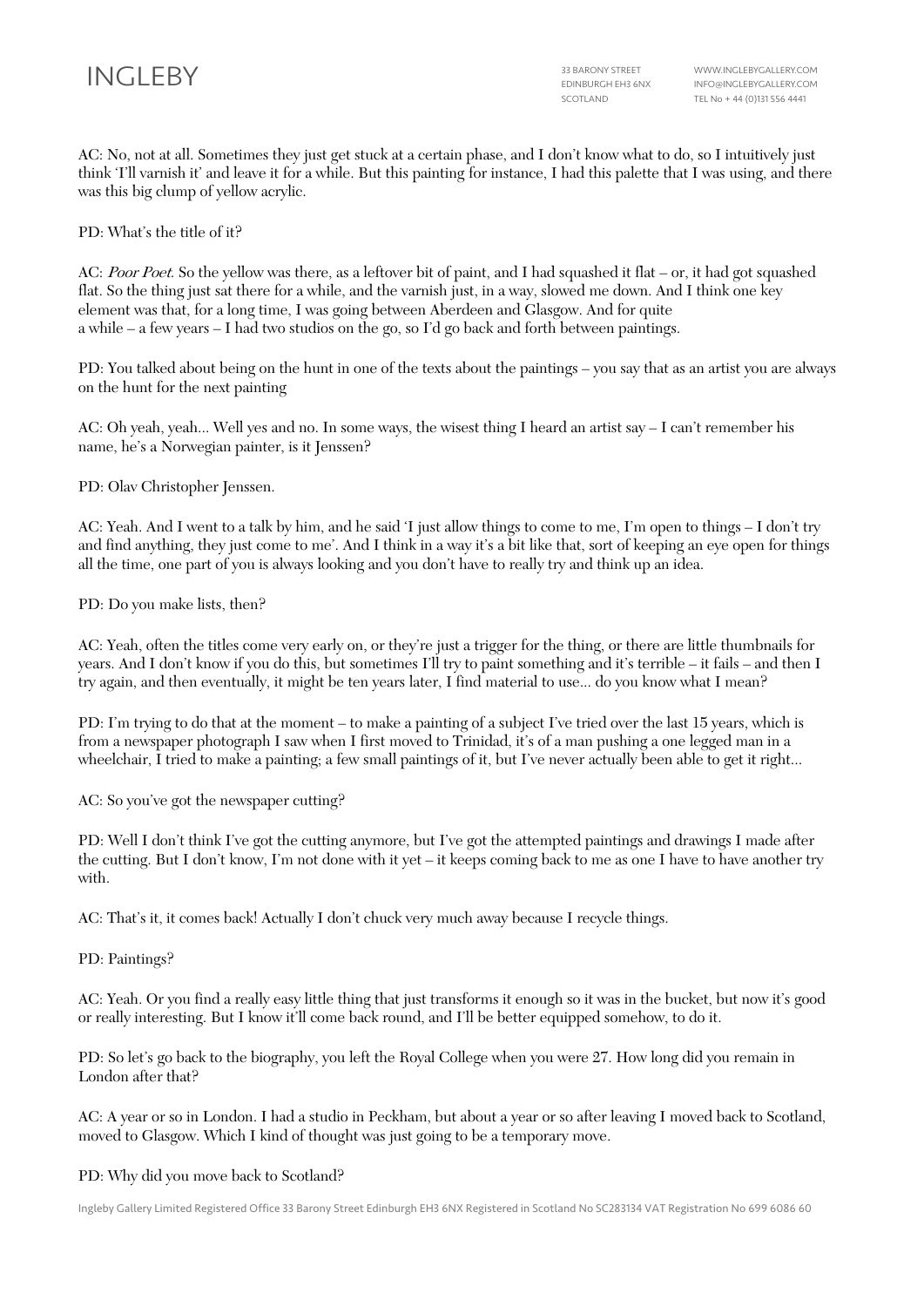AC: No, not at all. Sometimes they just get stuck at a certain phase, and I don't know what to do, so I intuitively just think 'I'll varnish it' and leave it for a while. But this painting for instance, I had this palette that I was using, and there was this big clump of yellow acrylic.

PD: What's the title of it?

AC: Poor Poet. So the yellow was there, as a leftover bit of paint, and I had squashed it flat – or, it had got squashed flat. So the thing just sat there for a while, and the varnish just, in a way, slowed me down. And I think one key element was that, for a long time, I was going between Aberdeen and Glasgow. And for quite a while – a few years – I had two studios on the go, so I'd go back and forth between paintings.

PD: You talked about being on the hunt in one of the texts about the paintings – you say that as an artist you are always on the hunt for the next painting

AC: Oh yeah, yeah... Well yes and no. In some ways, the wisest thing I heard an artist say – I can't remember his name, he's a Norwegian painter, is it Jenssen?

PD: Olav Christopher Jenssen.

AC: Yeah. And I went to a talk by him, and he said 'I just allow things to come to me, I'm open to things – I don't try and find anything, they just come to me'. And I think in a way it's a bit like that, sort of keeping an eye open for things all the time, one part of you is always looking and you don't have to really try and think up an idea.

### PD: Do you make lists, then?

AC: Yeah, often the titles come very early on, or they're just a trigger for the thing, or there are little thumbnails for years. And I don't know if you do this, but sometimes I'll try to paint something and it's terrible – it fails – and then I try again, and then eventually, it might be ten years later, I find material to use... do you know what I mean?

PD: I'm trying to do that at the moment – to make a painting of a subject I've tried over the last 15 years, which is from a newspaper photograph I saw when I first moved to Trinidad, it's of a man pushing a one legged man in a wheelchair, I tried to make a painting; a few small paintings of it, but I've never actually been able to get it right...

AC: So you've got the newspaper cutting?

PD: Well I don't think I've got the cutting anymore, but I've got the attempted paintings and drawings I made after the cutting. But I don't know, I'm not done with it yet – it keeps coming back to me as one I have to have another try with.

AC: That's it, it comes back! Actually I don't chuck very much away because I recycle things.

PD: Paintings?

AC: Yeah. Or you find a really easy little thing that just transforms it enough so it was in the bucket, but now it's good or really interesting. But I know it'll come back round, and I'll be better equipped somehow, to do it.

PD: So let's go back to the biography, you left the Royal College when you were 27. How long did you remain in London after that?

AC: A year or so in London. I had a studio in Peckham, but about a year or so after leaving I moved back to Scotland, moved to Glasgow. Which I kind of thought was just going to be a temporary move.

#### PD: Why did you move back to Scotland?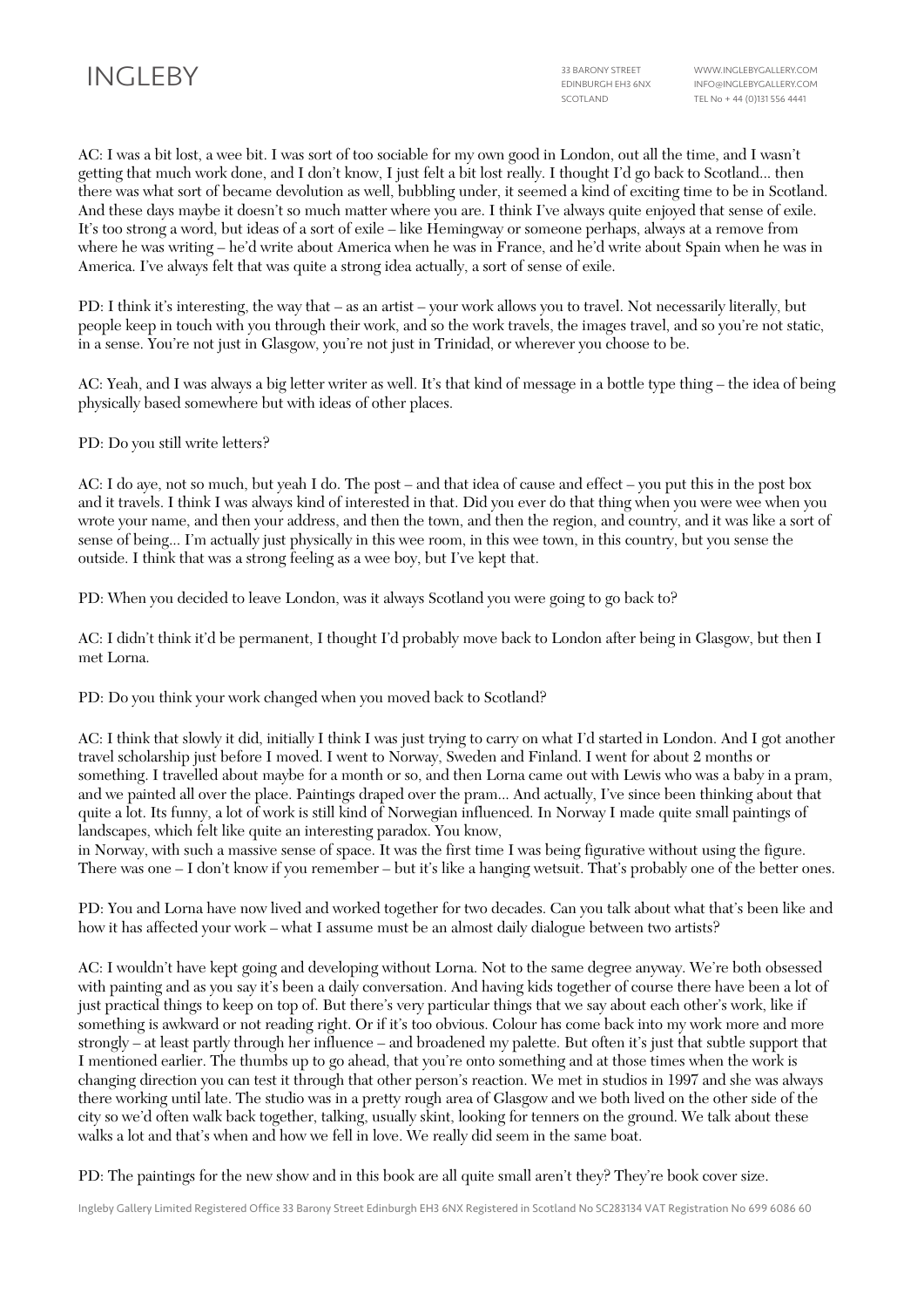AC: I was a bit lost, a wee bit. I was sort of too sociable for my own good in London, out all the time, and I wasn't getting that much work done, and I don't know, I just felt a bit lost really. I thought I'd go back to Scotland... then there was what sort of became devolution as well, bubbling under, it seemed a kind of exciting time to be in Scotland. And these days maybe it doesn't so much matter where you are. I think I've always quite enjoyed that sense of exile. It's too strong a word, but ideas of a sort of exile – like Hemingway or someone perhaps, always at a remove from where he was writing – he'd write about America when he was in France, and he'd write about Spain when he was in America. I've always felt that was quite a strong idea actually, a sort of sense of exile.

PD: I think it's interesting, the way that – as an artist – your work allows you to travel. Not necessarily literally, but people keep in touch with you through their work, and so the work travels, the images travel, and so you're not static, in a sense. You're not just in Glasgow, you're not just in Trinidad, or wherever you choose to be.

AC: Yeah, and I was always a big letter writer as well. It's that kind of message in a bottle type thing – the idea of being physically based somewhere but with ideas of other places.

PD: Do you still write letters?

AC: I do aye, not so much, but yeah I do. The post – and that idea of cause and effect – you put this in the post box and it travels. I think I was always kind of interested in that. Did you ever do that thing when you were wee when you wrote your name, and then your address, and then the town, and then the region, and country, and it was like a sort of sense of being... I'm actually just physically in this wee room, in this wee town, in this country, but you sense the outside. I think that was a strong feeling as a wee boy, but I've kept that.

PD: When you decided to leave London, was it always Scotland you were going to go back to?

AC: I didn't think it'd be permanent, I thought I'd probably move back to London after being in Glasgow, but then I met Lorna.

PD: Do you think your work changed when you moved back to Scotland?

AC: I think that slowly it did, initially I think I was just trying to carry on what I'd started in London. And I got another travel scholarship just before I moved. I went to Norway, Sweden and Finland. I went for about 2 months or something. I travelled about maybe for a month or so, and then Lorna came out with Lewis who was a baby in a pram, and we painted all over the place. Paintings draped over the pram... And actually, I've since been thinking about that quite a lot. Its funny, a lot of work is still kind of Norwegian influenced. In Norway I made quite small paintings of landscapes, which felt like quite an interesting paradox. You know,

in Norway, with such a massive sense of space. It was the first time I was being figurative without using the figure. There was one – I don't know if you remember – but it's like a hanging wetsuit. That's probably one of the better ones.

PD: You and Lorna have now lived and worked together for two decades. Can you talk about what that's been like and how it has affected your work – what I assume must be an almost daily dialogue between two artists?

AC: I wouldn't have kept going and developing without Lorna. Not to the same degree anyway. We're both obsessed with painting and as you say it's been a daily conversation. And having kids together of course there have been a lot of just practical things to keep on top of. But there's very particular things that we say about each other's work, like if something is awkward or not reading right. Or if it's too obvious. Colour has come back into my work more and more strongly – at least partly through her influence – and broadened my palette. But often it's just that subtle support that I mentioned earlier. The thumbs up to go ahead, that you're onto something and at those times when the work is changing direction you can test it through that other person's reaction. We met in studios in 1997 and she was always there working until late. The studio was in a pretty rough area of Glasgow and we both lived on the other side of the city so we'd often walk back together, talking, usually skint, looking for tenners on the ground. We talk about these walks a lot and that's when and how we fell in love. We really did seem in the same boat.

PD: The paintings for the new show and in this book are all quite small aren't they? They're book cover size.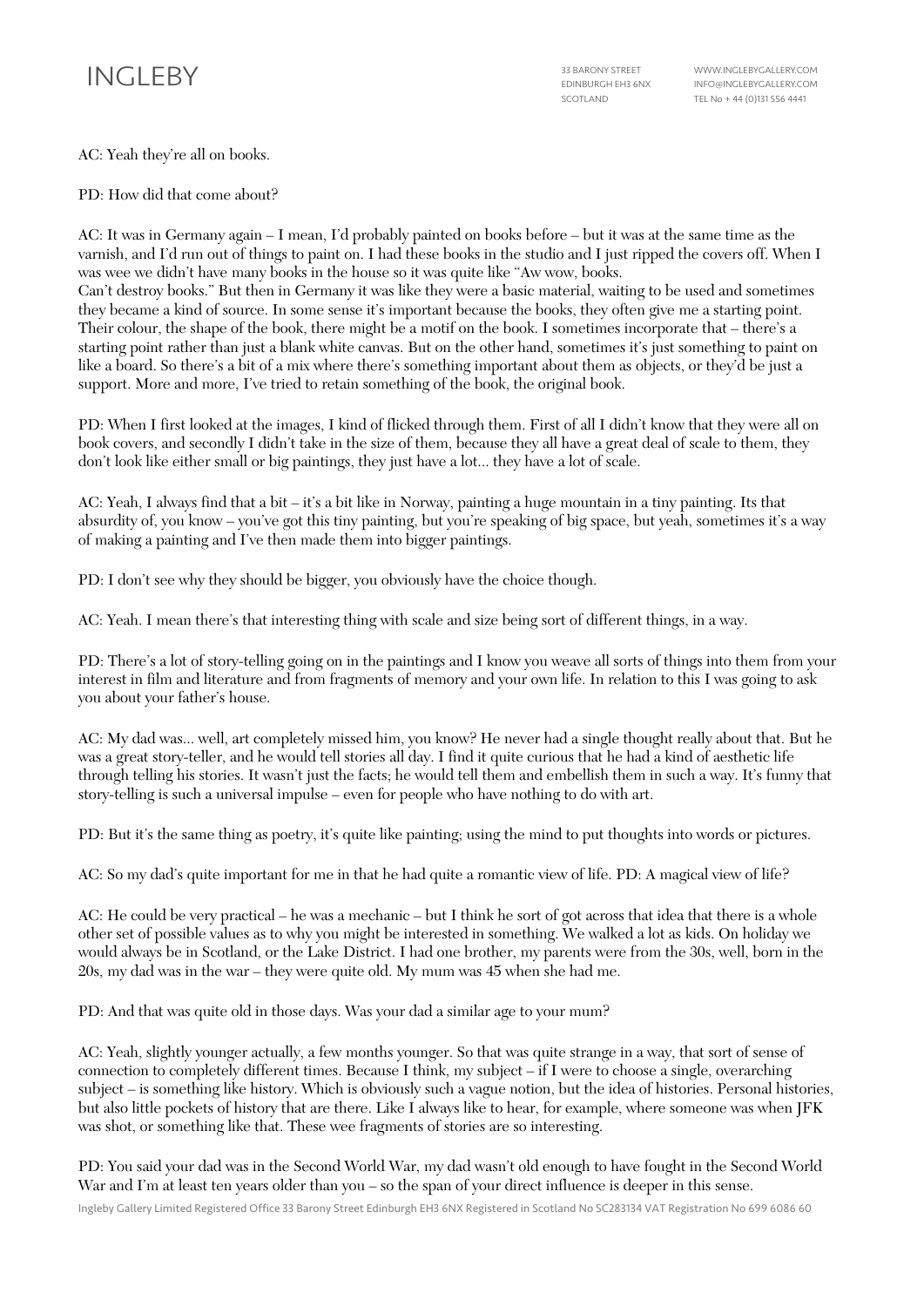AC: Yeah they're all on books.

PD: How did that come about?

AC: It was in Germany again – I mean, I'd probably painted on books before – but it was at the same time as the varnish, and I'd run out of things to paint on. I had these books in the studio and I just ripped the covers off. When I was wee we didn't have many books in the house so it was quite like "Aw wow, books.

Can't destroy books." But then in Germany it was like they were a basic material, waiting to be used and sometimes they became a kind of source. In some sense it's important because the books, they often give me a starting point. Their colour, the shape of the book, there might be a motif on the book. I sometimes incorporate that – there's a starting point rather than just a blank white canvas. But on the other hand, sometimes it's just something to paint on like a board. So there's a bit of a mix where there's something important about them as objects, or they'd be just a support. More and more, I've tried to retain something of the book, the original book.

PD: When I first looked at the images, I kind of flicked through them. First of all I didn't know that they were all on book covers, and secondly I didn't take in the size of them, because they all have a great deal of scale to them, they don't look like either small or big paintings, they just have a lot... they have a lot of scale.

AC: Yeah, I always find that a bit – it's a bit like in Norway, painting a huge mountain in a tiny painting. Its that absurdity of, you know – you've got this tiny painting, but you're speaking of big space, but yeah, sometimes it's a way of making a painting and I've then made them into bigger paintings.

PD: I don't see why they should be bigger, you obviously have the choice though.

AC: Yeah. I mean there's that interesting thing with scale and size being sort of different things, in a way.

PD: There's a lot of story-telling going on in the paintings and I know you weave all sorts of things into them from your interest in film and literature and from fragments of memory and your own life. In relation to this I was going to ask you about your father's house.

AC: My dad was... well, art completely missed him, you know? He never had a single thought really about that. But he was a great story-teller, and he would tell stories all day. I find it quite curious that he had a kind of aesthetic life through telling his stories. It wasn't just the facts; he would tell them and embellish them in such a way. It's funny that story-telling is such a universal impulse – even for people who have nothing to do with art.

PD: But it's the same thing as poetry, it's quite like painting; using the mind to put thoughts into words or pictures.

AC: So my dad's quite important for me in that he had quite a romantic view of life. PD: A magical view of life?

AC: He could be very practical – he was a mechanic – but I think he sort of got across that idea that there is a whole other set of possible values as to why you might be interested in something. We walked a lot as kids. On holiday we would always be in Scotland, or the Lake District. I had one brother, my parents were from the 30s, well, born in the 20s, my dad was in the war – they were quite old. My mum was 45 when she had me.

PD: And that was quite old in those days. Was your dad a similar age to your mum?

AC: Yeah, slightly younger actually, a few months younger. So that was quite strange in a way, that sort of sense of connection to completely different times. Because I think, my subject – if I were to choose a single, overarching subject – is something like history. Which is obviously such a vague notion, but the idea of histories. Personal histories, but also little pockets of history that are there. Like I always like to hear, for example, where someone was when JFK was shot, or something like that. These wee fragments of stories are so interesting.

PD: You said your dad was in the Second World War, my dad wasn't old enough to have fought in the Second World War and I'm at least ten years older than you – so the span of your direct influence is deeper in this sense.